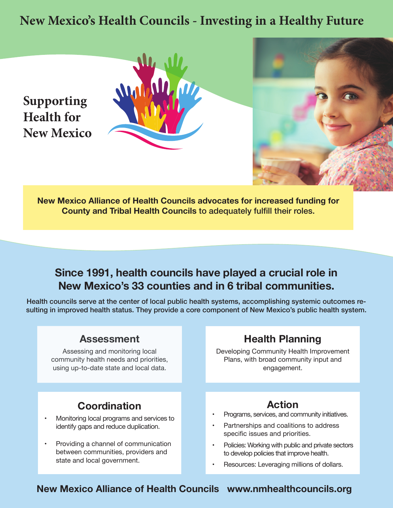## **New Mexico's Health Councils - Investing in a Healthy Future**



**New Mexico Alliance of Health Councils advocates for increased funding for County and Tribal Health Councils** to adequately fulfill their roles.

### **Since 1991, health councils have played a crucial role in New Mexico's 33 counties and in 6 tribal communities.**

Health councils serve at the center of local public health systems, accomplishing systemic outcomes resulting in improved health status. They provide a core component of New Mexico's public health system.

#### **Assessment**

Assessing and monitoring local community health needs and priorities, using up-to-date state and local data.

### **Coordination**

- Monitoring local programs and services to identify gaps and reduce duplication.
- Providing a channel of communication between communities, providers and state and local government.

#### **Health Planning**

Developing Community Health Improvement Plans, with broad community input and engagement.

### **Action**

- Programs, services, and community initiatives.
- Partnerships and coalitions to address specific issues and priorities.
- Policies: Working with public and private sectors to develop policies that improve health.
- Resources: Leveraging millions of dollars.

#### **New Mexico Alliance of Health Councils www.nmhealthcouncils.org**